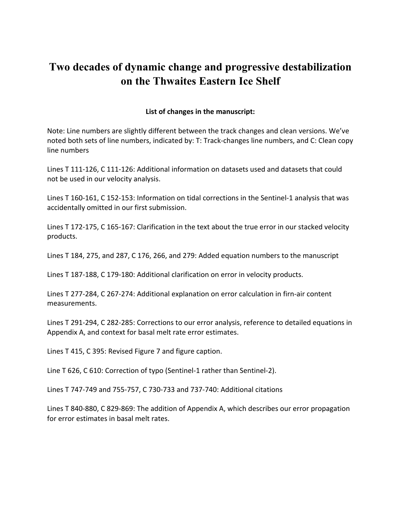# **Two decades of dynamic change and progressive destabilization on the Thwaites Eastern Ice Shelf**

# **List of changes in the manuscript:**

Note: Line numbers are slightly different between the track changes and clean versions. We've noted both sets of line numbers, indicated by: T: Track-changes line numbers, and C: Clean copy line numbers

Lines T 111-126, C 111-126: Additional information on datasets used and datasets that could not be used in our velocity analysis.

Lines T 160-161, C 152-153: Information on tidal corrections in the Sentinel-1 analysis that was accidentally omitted in our first submission.

Lines T 172-175, C 165-167: Clarification in the text about the true error in our stacked velocity products.

Lines T 184, 275, and 287, C 176, 266, and 279: Added equation numbers to the manuscript

Lines T 187-188, C 179-180: Additional clarification on error in velocity products.

Lines T 277-284, C 267-274: Additional explanation on error calculation in firn-air content measurements.

Lines T 291-294, C 282-285: Corrections to our error analysis, reference to detailed equations in Appendix A, and context for basal melt rate error estimates.

Lines T 415, C 395: Revised Figure 7 and figure caption.

Line T 626, C 610: Correction of typo (Sentinel-1 rather than Sentinel-2).

Lines T 747-749 and 755-757, C 730-733 and 737-740: Additional citations

Lines T 840-880, C 829-869: The addition of Appendix A, which describes our error propagation for error estimates in basal melt rates.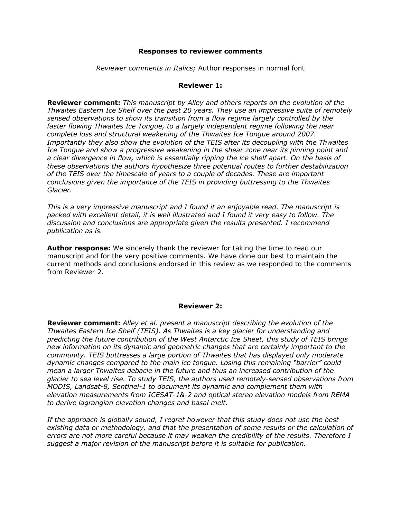#### **Responses to reviewer comments**

*Reviewer comments in Italics;* Author responses in normal font

#### **Reviewer 1:**

**Reviewer comment:** *This manuscript by Alley and others reports on the evolution of the Thwaites Eastern Ice Shelf over the past 20 years. They use an impressive suite of remotely sensed observations to show its transition from a flow regime largely controlled by the faster flowing Thwaites Ice Tongue, to a largely independent regime following the near complete loss and structural weakening of the Thwaites Ice Tongue around 2007. Importantly they also show the evolution of the TEIS after its decoupling with the Thwaites Ice Tongue and show a progressive weakening in the shear zone near its pinning point and a clear divergence in flow, which is essentially ripping the ice shelf apart. On the basis of these observations the authors hypothesize three potential routes to further destabilization of the TEIS over the timescale of years to a couple of decades. These are important conclusions given the importance of the TEIS in providing buttressing to the Thwaites Glacier.*

*This is a very impressive manuscript and I found it an enjoyable read. The manuscript is packed with excellent detail, it is well illustrated and I found it very easy to follow. The discussion and conclusions are appropriate given the results presented. I recommend publication as is.*

**Author response:** We sincerely thank the reviewer for taking the time to read our manuscript and for the very positive comments. We have done our best to maintain the current methods and conclusions endorsed in this review as we responded to the comments from Reviewer 2.

#### **Reviewer 2:**

**Reviewer comment:** *Alley et al. present a manuscript describing the evolution of the Thwaites Eastern Ice Shelf (TEIS). As Thwaites is a key glacier for understanding and predicting the future contribution of the West Antarctic Ice Sheet, this study of TEIS brings new information on its dynamic and geometric changes that are certainly important to the community. TEIS buttresses a large portion of Thwaites that has displayed only moderate dynamic changes compared to the main ice tongue. Losing this remaining "barrier" could mean a larger Thwaites debacle in the future and thus an increased contribution of the glacier to sea level rise. To study TEIS, the authors used remotely-sensed observations from MODIS, Landsat-8, Sentinel-1 to document its dynamic and complement them with elevation measurements from ICESAT-1&-2 and optical stereo elevation models from REMA to derive lagrangian elevation changes and basal melt.* 

*If the approach is globally sound, I regret however that this study does not use the best existing data or methodology, and that the presentation of some results or the calculation of errors are not more careful because it may weaken the credibility of the results. Therefore I suggest a major revision of the manuscript before it is suitable for publication.*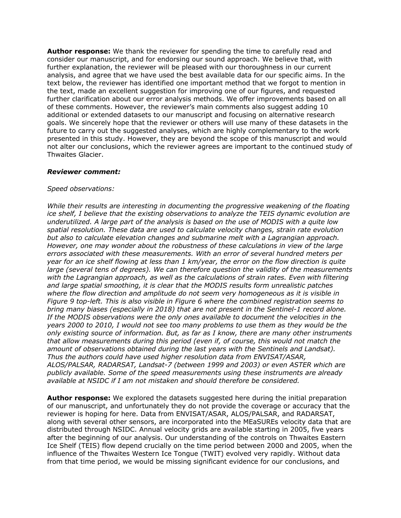**Author response:** We thank the reviewer for spending the time to carefully read and consider our manuscript, and for endorsing our sound approach. We believe that, with further explanation, the reviewer will be pleased with our thoroughness in our current analysis, and agree that we have used the best available data for our specific aims. In the text below, the reviewer has identified one important method that we forgot to mention in the text, made an excellent suggestion for improving one of our figures, and requested further clarification about our error analysis methods. We offer improvements based on all of these comments. However, the reviewer's main comments also suggest adding 10 additional or extended datasets to our manuscript and focusing on alternative research goals. We sincerely hope that the reviewer or others will use many of these datasets in the future to carry out the suggested analyses, which are highly complementary to the work presented in this study. However, they are beyond the scope of this manuscript and would not alter our conclusions, which the reviewer agrees are important to the continued study of Thwaites Glacier.

# *Reviewer comment:*

# *Speed observations:*

*While their results are interesting in documenting the progressive weakening of the floating ice shelf, I believe that the existing observations to analyze the TEIS dynamic evolution are underutilized. A large part of the analysis is based on the use of MODIS with a quite low spatial resolution. These data are used to calculate velocity changes, strain rate evolution but also to calculate elevation changes and submarine melt with a Lagrangian approach. However, one may wonder about the robustness of these calculations in view of the large errors associated with these measurements. With an error of several hundred meters per year for an ice shelf flowing at less than 1 km/year, the error on the flow direction is quite large (several tens of degrees). We can therefore question the validity of the measurements with the Lagrangian approach, as well as the calculations of strain rates. Even with filtering and large spatial smoothing, it is clear that the MODIS results form unrealistic patches where the flow direction and amplitude do not seem very homogeneous as it is visible in Figure 9 top-left. This is also visible in Figure 6 where the combined registration seems to bring many biases (especially in 2018) that are not present in the Sentinel-1 record alone. If the MODIS observations were the only ones available to document the velocities in the years 2000 to 2010, I would not see too many problems to use them as they would be the only existing source of information. But, as far as I know, there are many other instruments that allow measurements during this period (even if, of course, this would not match the amount of observations obtained during the last years with the Sentinels and Landsat). Thus the authors could have used higher resolution data from ENVISAT/ASAR, ALOS/PALSAR, RADARSAT, Landsat-7 (between 1999 and 2003) or even ASTER which are publicly available. Some of the speed measurements using these instruments are already available at NSIDC if I am not mistaken and should therefore be considered.* 

**Author response:** We explored the datasets suggested here during the initial preparation of our manuscript, and unfortunately they do not provide the coverage or accuracy that the reviewer is hoping for here. Data from ENVISAT/ASAR, ALOS/PALSAR, and RADARSAT, along with several other sensors, are incorporated into the MEaSUREs velocity data that are distributed through NSIDC. Annual velocity grids are available starting in 2005, five years after the beginning of our analysis. Our understanding of the controls on Thwaites Eastern Ice Shelf (TEIS) flow depend crucially on the time period between 2000 and 2005, when the influence of the Thwaites Western Ice Tongue (TWIT) evolved very rapidly. Without data from that time period, we would be missing significant evidence for our conclusions, and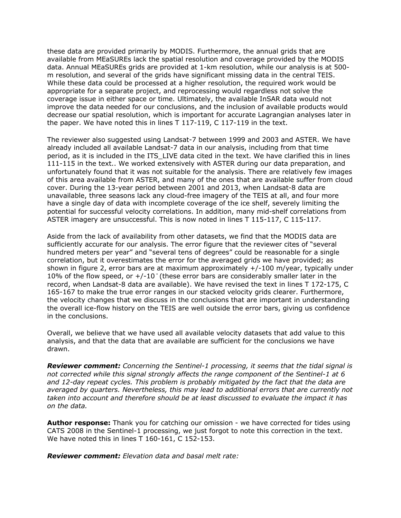these data are provided primarily by MODIS. Furthermore, the annual grids that are available from MEaSUREs lack the spatial resolution and coverage provided by the MODIS data. Annual MEaSUREs grids are provided at 1-km resolution, while our analysis is at 500 m resolution, and several of the grids have significant missing data in the central TEIS. While these data could be processed at a higher resolution, the required work would be appropriate for a separate project, and reprocessing would regardless not solve the coverage issue in either space or time. Ultimately, the available InSAR data would not improve the data needed for our conclusions, and the inclusion of available products would decrease our spatial resolution, which is important for accurate Lagrangian analyses later in the paper. We have noted this in lines T 117-119, C 117-119 in the text.

The reviewer also suggested using Landsat-7 between 1999 and 2003 and ASTER. We have already included all available Landsat-7 data in our analysis, including from that time period, as it is included in the ITS\_LIVE data cited in the text. We have clarified this in lines 111-115 in the text.. We worked extensively with ASTER during our data preparation, and unfortunately found that it was not suitable for the analysis. There are relatively few images of this area available from ASTER, and many of the ones that are available suffer from cloud cover. During the 13-year period between 2001 and 2013, when Landsat-8 data are unavailable, three seasons lack any cloud-free imagery of the TEIS at all, and four more have a single day of data with incomplete coverage of the ice shelf, severely limiting the potential for successful velocity correlations. In addition, many mid-shelf correlations from ASTER imagery are unsuccessful. This is now noted in lines T 115-117, C 115-117.

Aside from the lack of availability from other datasets, we find that the MODIS data are sufficiently accurate for our analysis. The error figure that the reviewer cites of "several hundred meters per year" and "several tens of degrees" could be reasonable for a single correlation, but it overestimates the error for the averaged grids we have provided; as shown in figure 2, error bars are at maximum approximately +/-100 m/year, typically under 10% of the flow speed, or  $+/-10$ ° (these error bars are considerably smaller later in the record, when Landsat-8 data are available). We have revised the text in lines T 172-175, C 165-167 to make the true error ranges in our stacked velocity grids clearer. Furthermore, the velocity changes that we discuss in the conclusions that are important in understanding the overall ice-flow history on the TEIS are well outside the error bars, giving us confidence in the conclusions.

Overall, we believe that we have used all available velocity datasets that add value to this analysis, and that the data that are available are sufficient for the conclusions we have drawn.

*Reviewer comment: Concerning the Sentinel-1 processing, it seems that the tidal signal is not corrected while this signal strongly affects the range component of the Sentinel-1 at 6 and 12-day repeat cycles. This problem is probably mitigated by the fact that the data are averaged by quarters. Nevertheless, this may lead to additional errors that are currently not taken into account and therefore should be at least discussed to evaluate the impact it has on the data.* 

**Author response:** Thank you for catching our omission - we have corrected for tides using CATS 2008 in the Sentinel-1 processing, we just forgot to note this correction in the text. We have noted this in lines T 160-161, C 152-153.

*Reviewer comment: Elevation data and basal melt rate:*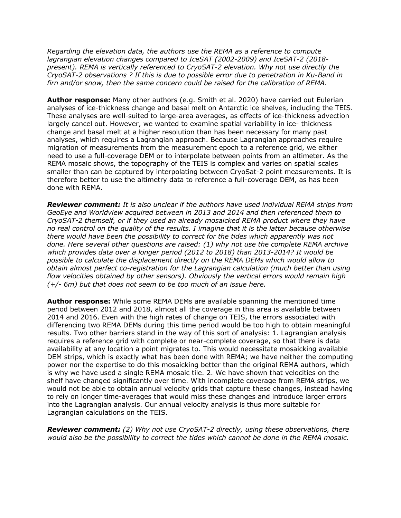*Regarding the elevation data, the authors use the REMA as a reference to compute lagrangian elevation changes compared to IceSAT (2002-2009) and IceSAT-2 (2018 present). REMA is vertically referenced to CryoSAT-2 elevation. Why not use directly the CryoSAT-2 observations ? If this is due to possible error due to penetration in Ku-Band in firn and/or snow, then the same concern could be raised for the calibration of REMA.* 

**Author response:** Many other authors (e.g. Smith et al. 2020) have carried out Eulerian analyses of ice-thickness change and basal melt on Antarctic ice shelves, including the TEIS. These analyses are well-suited to large-area averages, as effects of ice-thickness advection largely cancel out. However, we wanted to examine spatial variability in ice- thickness change and basal melt at a higher resolution than has been necessary for many past analyses, which requires a Lagrangian approach. Because Lagrangian approaches require migration of measurements from the measurement epoch to a reference grid, we either need to use a full-coverage DEM or to interpolate between points from an altimeter. As the REMA mosaic shows, the topography of the TEIS is complex and varies on spatial scales smaller than can be captured by interpolating between CryoSat-2 point measurements. It is therefore better to use the altimetry data to reference a full-coverage DEM, as has been done with REMA.

*Reviewer comment: It is also unclear if the authors have used individual REMA strips from GeoEye and Worldview acquired between in 2013 and 2014 and then referenced them to CryoSAT-2 themself, or if they used an already mosaicked REMA product where they have no real control on the quality of the results. I imagine that it is the latter because otherwise there would have been the possibility to correct for the tides which apparently was not done. Here several other questions are raised: (1) why not use the complete REMA archive which provides data over a longer period (2012 to 2018) than 2013-2014? It would be possible to calculate the displacement directly on the REMA DEMs which would allow to obtain almost perfect co-registration for the Lagrangian calculation (much better than using flow velocities obtained by other sensors). Obviously the vertical errors would remain high (+/- 6m) but that does not seem to be too much of an issue here.* 

**Author response:** While some REMA DEMs are available spanning the mentioned time period between 2012 and 2018, almost all the coverage in this area is available between 2014 and 2016. Even with the high rates of change on TEIS, the errors associated with differencing two REMA DEMs during this time period would be too high to obtain meaningful results. Two other barriers stand in the way of this sort of analysis: 1. Lagrangian analysis requires a reference grid with complete or near-complete coverage, so that there is data availability at any location a point migrates to. This would necessitate mosaicking available DEM strips, which is exactly what has been done with REMA; we have neither the computing power nor the expertise to do this mosaicking better than the original REMA authors, which is why we have used a single REMA mosaic tile. 2. We have shown that velocities on the shelf have changed significantly over time. With incomplete coverage from REMA strips, we would not be able to obtain annual velocity grids that capture these changes, instead having to rely on longer time-averages that would miss these changes and introduce larger errors into the Lagrangian analysis. Our annual velocity analysis is thus more suitable for Lagrangian calculations on the TEIS.

*Reviewer comment: (2) Why not use CryoSAT-2 directly, using these observations, there would also be the possibility to correct the tides which cannot be done in the REMA mosaic.*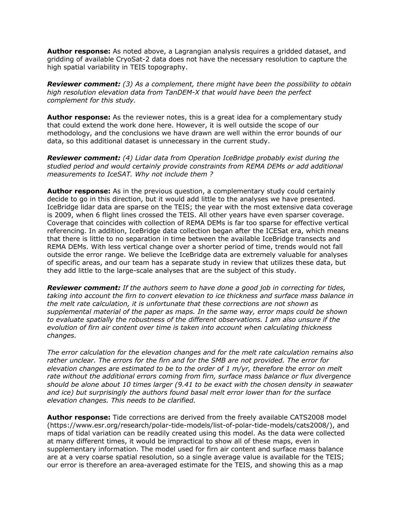**Author response:** As noted above, a Lagrangian analysis requires a gridded dataset, and gridding of available CryoSat-2 data does not have the necessary resolution to capture the high spatial variability in TEIS topography.

*Reviewer comment: (3) As a complement, there might have been the possibility to obtain high resolution elevation data from TanDEM-X that would have been the perfect complement for this study.* 

**Author response:** As the reviewer notes, this is a great idea for a complementary study that could extend the work done here. However, it is well outside the scope of our methodology, and the conclusions we have drawn are well within the error bounds of our data, so this additional dataset is unnecessary in the current study.

*Reviewer comment: (4) Lidar data from Operation IceBridge probably exist during the studied period and would certainly provide constraints from REMA DEMs or add additional measurements to IceSAT. Why not include them ?* 

**Author response:** As in the previous question, a complementary study could certainly decide to go in this direction, but it would add little to the analyses we have presented. IceBridge lidar data are sparse on the TEIS; the year with the most extensive data coverage is 2009, when 6 flight lines crossed the TEIS. All other years have even sparser coverage. Coverage that coincides with collection of REMA DEMs is far too sparse for effective vertical referencing. In addition, IceBridge data collection began after the ICESat era, which means that there is little to no separation in time between the available IceBridge transects and REMA DEMs. With less vertical change over a shorter period of time, trends would not fall outside the error range. We believe the IceBridge data are extremely valuable for analyses of specific areas, and our team has a separate study in review that utilizes these data, but they add little to the large-scale analyses that are the subject of this study.

*Reviewer comment: If the authors seem to have done a good job in correcting for tides, taking into account the firn to convert elevation to ice thickness and surface mass balance in the melt rate calculation, it is unfortunate that these corrections are not shown as supplemental material of the paper as maps. In the same way, error maps could be shown to evaluate spatially the robustness of the different observations. I am also unsure if the evolution of firn air content over time is taken into account when calculating thickness changes.* 

*The error calculation for the elevation changes and for the melt rate calculation remains also rather unclear. The errors for the firn and for the SMB are not provided. The error for elevation changes are estimated to be to the order of 1 m/yr, therefore the error on melt rate without the additional errors coming from firn, surface mass balance or flux divergence should be alone about 10 times larger (9.41 to be exact with the chosen density in seawater and ice) but surprisingly the authors found basal melt error lower than for the surface elevation changes. This needs to be clarified.* 

**Author response:** Tide corrections are derived from the freely available CATS2008 model (https://www.esr.org/research/polar-tide-models/list-of-polar-tide-models/cats2008/), and maps of tidal variation can be readily created using this model. As the data were collected at many different times, it would be impractical to show all of these maps, even in supplementary information. The model used for firn air content and surface mass balance are at a very coarse spatial resolution, so a single average value is available for the TEIS; our error is therefore an area-averaged estimate for the TEIS, and showing this as a map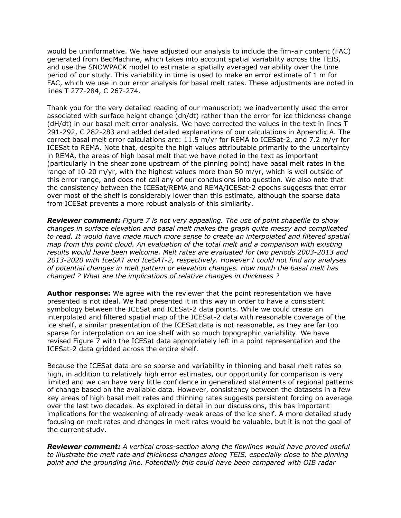would be uninformative. We have adjusted our analysis to include the firn-air content (FAC) generated from BedMachine, which takes into account spatial variability across the TEIS, and use the SNOWPACK model to estimate a spatially averaged variability over the time period of our study. This variability in time is used to make an error estimate of 1 m for FAC, which we use in our error analysis for basal melt rates. These adjustments are noted in lines T 277-284, C 267-274.

Thank you for the very detailed reading of our manuscript; we inadvertently used the error associated with surface height change (dh/dt) rather than the error for ice thickness change (dH/dt) in our basal melt error analysis. We have corrected the values in the text in lines T 291-292, C 282-283 and added detailed explanations of our calculations in Appendix A. The correct basal melt error calculations are: 11.5 m/yr for REMA to ICESat-2, and 7.2 m/yr for ICESat to REMA. Note that, despite the high values attributable primarily to the uncertainty in REMA, the areas of high basal melt that we have noted in the text as important (particularly in the shear zone upstream of the pinning point) have basal melt rates in the range of 10-20 m/yr, with the highest values more than 50 m/yr, which is well outside of this error range, and does not call any of our conclusions into question. We also note that the consistency between the ICESat/REMA and REMA/ICESat-2 epochs suggests that error over most of the shelf is considerably lower than this estimate, although the sparse data from ICESat prevents a more robust analysis of this similarity.

*Reviewer comment: Figure 7 is not very appealing. The use of point shapefile to show changes in surface elevation and basal melt makes the graph quite messy and complicated to read. It would have made much more sense to create an interpolated and filtered spatial map from this point cloud. An evaluation of the total melt and a comparison with existing results would have been welcome. Melt rates are evaluated for two periods 2003-2013 and 2013-2020 with IceSAT and IceSAT-2, respectively. However I could not find any analyses of potential changes in melt pattern or elevation changes. How much the basal melt has changed ? What are the implications of relative changes in thickness ?* 

**Author response:** We agree with the reviewer that the point representation we have presented is not ideal. We had presented it in this way in order to have a consistent symbology between the ICESat and ICESat-2 data points. While we could create an interpolated and filtered spatial map of the ICESat-2 data with reasonable coverage of the ice shelf, a similar presentation of the ICESat data is not reasonable, as they are far too sparse for interpolation on an ice shelf with so much topographic variability. We have revised Figure 7 with the ICESat data appropriately left in a point representation and the ICESat-2 data gridded across the entire shelf.

Because the ICESat data are so sparse and variability in thinning and basal melt rates so high, in addition to relatively high error estimates, our opportunity for comparison is very limited and we can have very little confidence in generalized statements of regional patterns of change based on the available data. However, consistency between the datasets in a few key areas of high basal melt rates and thinning rates suggests persistent forcing on average over the last two decades. As explored in detail in our discussions, this has important implications for the weakening of already-weak areas of the ice shelf. A more detailed study focusing on melt rates and changes in melt rates would be valuable, but it is not the goal of the current study.

*Reviewer comment: A vertical cross-section along the flowlines would have proved useful to illustrate the melt rate and thickness changes along TEIS, especially close to the pinning point and the grounding line. Potentially this could have been compared with OIB radar*